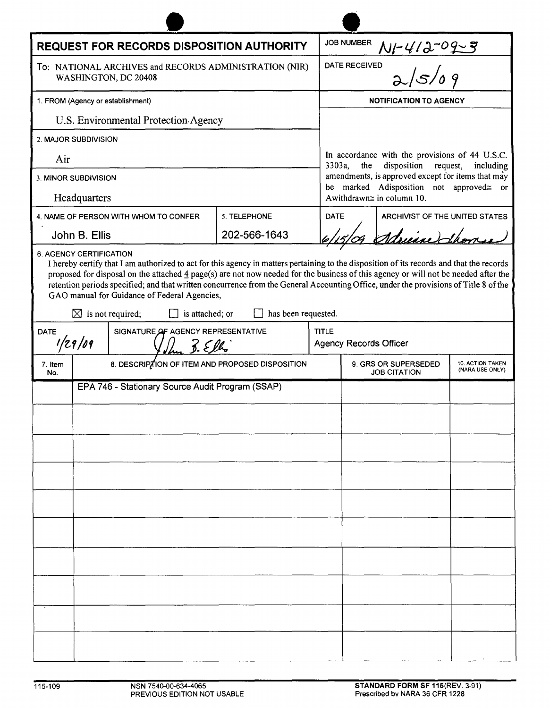| REQUEST FOR RECORDS DISPOSITION AUTHORITY                                                                                                                                                                                                                                                                                                                                                                                                                                                                                                                                             |                                                  |  |                                                 |              | <b>JOB NUMBER</b>                                                                                       |                                |                                     |  |
|---------------------------------------------------------------------------------------------------------------------------------------------------------------------------------------------------------------------------------------------------------------------------------------------------------------------------------------------------------------------------------------------------------------------------------------------------------------------------------------------------------------------------------------------------------------------------------------|--------------------------------------------------|--|-------------------------------------------------|--------------|---------------------------------------------------------------------------------------------------------|--------------------------------|-------------------------------------|--|
| To: NATIONAL ARCHIVES and RECORDS ADMINISTRATION (NIR)<br>WASHINGTON, DC 20408                                                                                                                                                                                                                                                                                                                                                                                                                                                                                                        |                                                  |  |                                                 |              | $\frac{N_1 - 4/3 - 09 - 5}{2}$<br>DATE RECEIVED                                                         |                                |                                     |  |
| 1. FROM (Agency or establishment)                                                                                                                                                                                                                                                                                                                                                                                                                                                                                                                                                     |                                                  |  |                                                 |              | <b>NOTIFICATION TO AGENCY</b>                                                                           |                                |                                     |  |
| U.S. Environmental Protection Agency                                                                                                                                                                                                                                                                                                                                                                                                                                                                                                                                                  |                                                  |  |                                                 |              |                                                                                                         |                                |                                     |  |
| 2. MAJOR SUBDIVISION                                                                                                                                                                                                                                                                                                                                                                                                                                                                                                                                                                  |                                                  |  |                                                 |              |                                                                                                         |                                |                                     |  |
| Air                                                                                                                                                                                                                                                                                                                                                                                                                                                                                                                                                                                   |                                                  |  |                                                 |              | In accordance with the provisions of 44 U.S.C.<br>disposition<br>3303a,<br>the<br>request,<br>including |                                |                                     |  |
| 3. MINOR SUBDIVISION                                                                                                                                                                                                                                                                                                                                                                                                                                                                                                                                                                  |                                                  |  |                                                 |              | amendments, is approved except for items that may<br>be marked Adisposition not approved= or            |                                |                                     |  |
| Headquarters                                                                                                                                                                                                                                                                                                                                                                                                                                                                                                                                                                          |                                                  |  |                                                 |              | Awithdrawn $\cong$ in column 10.                                                                        |                                |                                     |  |
| 4. NAME OF PERSON WITH WHOM TO CONFER                                                                                                                                                                                                                                                                                                                                                                                                                                                                                                                                                 |                                                  |  | 5. TELEPHONE                                    | <b>DATE</b>  |                                                                                                         | ARCHIVIST OF THE UNITED STATES |                                     |  |
|                                                                                                                                                                                                                                                                                                                                                                                                                                                                                                                                                                                       | John B. Ellis                                    |  | 202-566-1643                                    |              |                                                                                                         | Adrience Thom                  |                                     |  |
| <b>6. AGENCY CERTIFICATION</b><br>I hereby certify that I am authorized to act for this agency in matters pertaining to the disposition of its records and that the records<br>proposed for disposal on the attached $4$ page(s) are not now needed for the business of this agency or will not be needed after the<br>retention periods specified; and that written concurrence from the General Accounting Office, under the provisions of Title 8 of the<br>GAO manual for Guidance of Federal Agencies,<br>has been requested.<br>$\boxtimes$ is not required;<br>is attached; or |                                                  |  |                                                 |              |                                                                                                         |                                |                                     |  |
| SIGNATURE OF AGENCY REPRESENTATIVE<br><b>DATE</b>                                                                                                                                                                                                                                                                                                                                                                                                                                                                                                                                     |                                                  |  |                                                 | <b>TITLE</b> |                                                                                                         |                                |                                     |  |
| 1/29/09<br>$\frac{7}{2}$ . Elly                                                                                                                                                                                                                                                                                                                                                                                                                                                                                                                                                       |                                                  |  |                                                 |              | <b>Agency Records Officer</b>                                                                           |                                |                                     |  |
| 7. Item<br>No.                                                                                                                                                                                                                                                                                                                                                                                                                                                                                                                                                                        |                                                  |  | 8. DESCRIPTION OF ITEM AND PROPOSED DISPOSITION |              | 9. GRS OR SUPERSEDED<br><b>JOB CITATION</b>                                                             |                                | 10. ACTION TAKEN<br>(NARA USE ONLY) |  |
|                                                                                                                                                                                                                                                                                                                                                                                                                                                                                                                                                                                       | EPA 746 - Stationary Source Audit Program (SSAP) |  |                                                 |              |                                                                                                         |                                |                                     |  |
|                                                                                                                                                                                                                                                                                                                                                                                                                                                                                                                                                                                       |                                                  |  |                                                 |              |                                                                                                         |                                |                                     |  |
|                                                                                                                                                                                                                                                                                                                                                                                                                                                                                                                                                                                       |                                                  |  |                                                 |              |                                                                                                         |                                |                                     |  |
|                                                                                                                                                                                                                                                                                                                                                                                                                                                                                                                                                                                       |                                                  |  |                                                 |              |                                                                                                         |                                |                                     |  |
|                                                                                                                                                                                                                                                                                                                                                                                                                                                                                                                                                                                       |                                                  |  |                                                 |              |                                                                                                         |                                |                                     |  |
|                                                                                                                                                                                                                                                                                                                                                                                                                                                                                                                                                                                       |                                                  |  |                                                 |              |                                                                                                         |                                |                                     |  |
|                                                                                                                                                                                                                                                                                                                                                                                                                                                                                                                                                                                       |                                                  |  |                                                 |              |                                                                                                         |                                |                                     |  |
|                                                                                                                                                                                                                                                                                                                                                                                                                                                                                                                                                                                       |                                                  |  |                                                 |              |                                                                                                         |                                |                                     |  |
|                                                                                                                                                                                                                                                                                                                                                                                                                                                                                                                                                                                       |                                                  |  |                                                 |              |                                                                                                         |                                |                                     |  |
|                                                                                                                                                                                                                                                                                                                                                                                                                                                                                                                                                                                       |                                                  |  |                                                 |              |                                                                                                         |                                |                                     |  |
|                                                                                                                                                                                                                                                                                                                                                                                                                                                                                                                                                                                       |                                                  |  |                                                 |              |                                                                                                         |                                |                                     |  |
|                                                                                                                                                                                                                                                                                                                                                                                                                                                                                                                                                                                       |                                                  |  |                                                 |              |                                                                                                         |                                |                                     |  |
|                                                                                                                                                                                                                                                                                                                                                                                                                                                                                                                                                                                       |                                                  |  |                                                 |              |                                                                                                         |                                |                                     |  |
|                                                                                                                                                                                                                                                                                                                                                                                                                                                                                                                                                                                       |                                                  |  |                                                 |              |                                                                                                         |                                |                                     |  |

 $\blacktriangle$ 

 $\blacktriangle$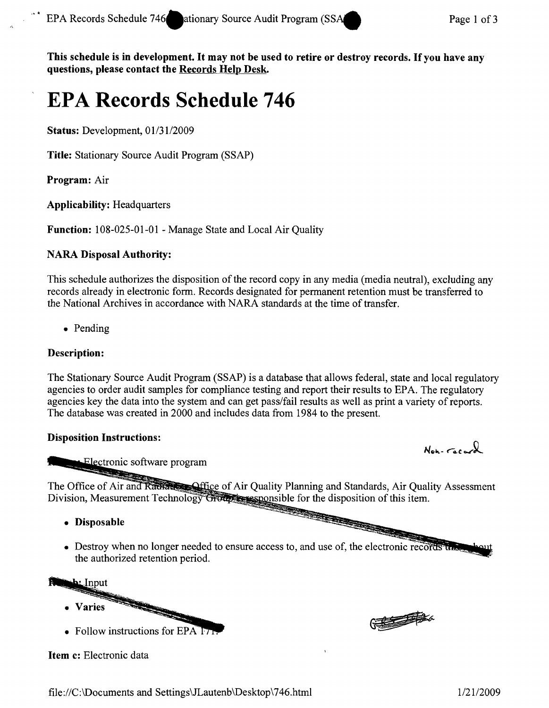This schedule is in development. It may not be used to retire or destroy records. If you have any questions, please contact the Records Help Desk.

# **EPA Records Schedule 746**

Status: Development, *0113112009*

Title: Stationary Source Audit Program (SSAP)

Program: Air

Applicability: Headquarters

Function: 108-025-01-01 - Manage State and Local Air Quality

# NARA Disposal Authority:

This schedule authorizes the disposition of the record copy in any media (media neutral), excluding any records already in electronic form. Records designated for permanent retention must be transferred to the National Archives in accordance with NARA standards at the time of transfer.

• Pending

# Description:

The Stationary Source Audit Program (SSAP) is a database that allows federal, state and local regulatory agencies to order audit samples for compliance testing and report their results to EPA. The regulatory agencies key the data into the system and can get pass/fail results as well as print a variety of reports. The database was created in 2000 and includes data from 1984 to the present.

# Disposition Instructions:

Non- racard

CENTRAL

Electronic software program

The Office of Air and Radian Strategy of Air Quality Planning and Standards, Air Quality Assessment Division, Measurement Technology Group is exponsible for the disposition of this item.

- Disposable
- Destroy when no longer needed to ensure access to, and use of, the electronic recor the authorized retention period.

**bi** Input

- **Varies**
- Follow instructions for  $EPA$  17

Item c: Electronic data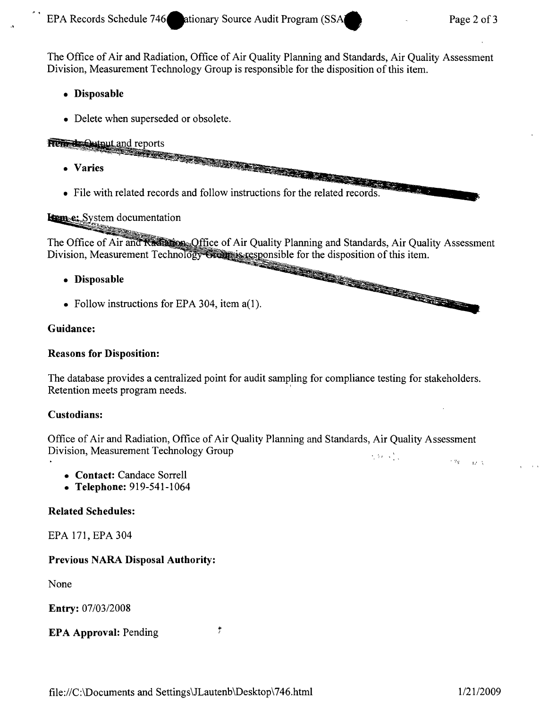The Office of Air and Radiation, Office of Air Quality Planning and Standards, Air Quality Assessment Division, Measurement Technology Group is responsible for the disposition of this item.

### **• Disposable**

• Delete when superseded or obsolete.

# **Remote Output and reports**

- **• Varies**
- File with related records and follow instructions for the related records.

#### Lem<sub>e:</sub> System documentation

The Office of Air and Radia son. Office of Air Quality Planning and Standards, Air Quality Assessment Division, Measurement Technology Greens is responsible for the disposition of this item.

- **• Disposable**
- Follow instructions for EPA 304, item a(1).

#### **Guidance:**

#### **Reasons for Disposition:**

The database provides a centralized point for audit sampling for compliance testing for stakeholders. Retention meets program needs. '

#### **Custodians:**

Office of Air and Radiation, Office of Air Quality Planning and Standards, Air Quality Assessment Division, Measurement Technology Group *Measurement* Technology Group  $\gamma \, \eta_{1} = \frac{1}{4} \gamma \, \chi$ 

- **• Contact:** Candace Sorrell
- **• Telephone:** 919-541-1064

#### **Related Schedules:**

EPA 171, EPA 304

# **Previous** NARA **Disposal Authority:**

None

**Entry:** *07/03/2008*

# **EPA Approval:** Pending

 $\frac{1}{2}$